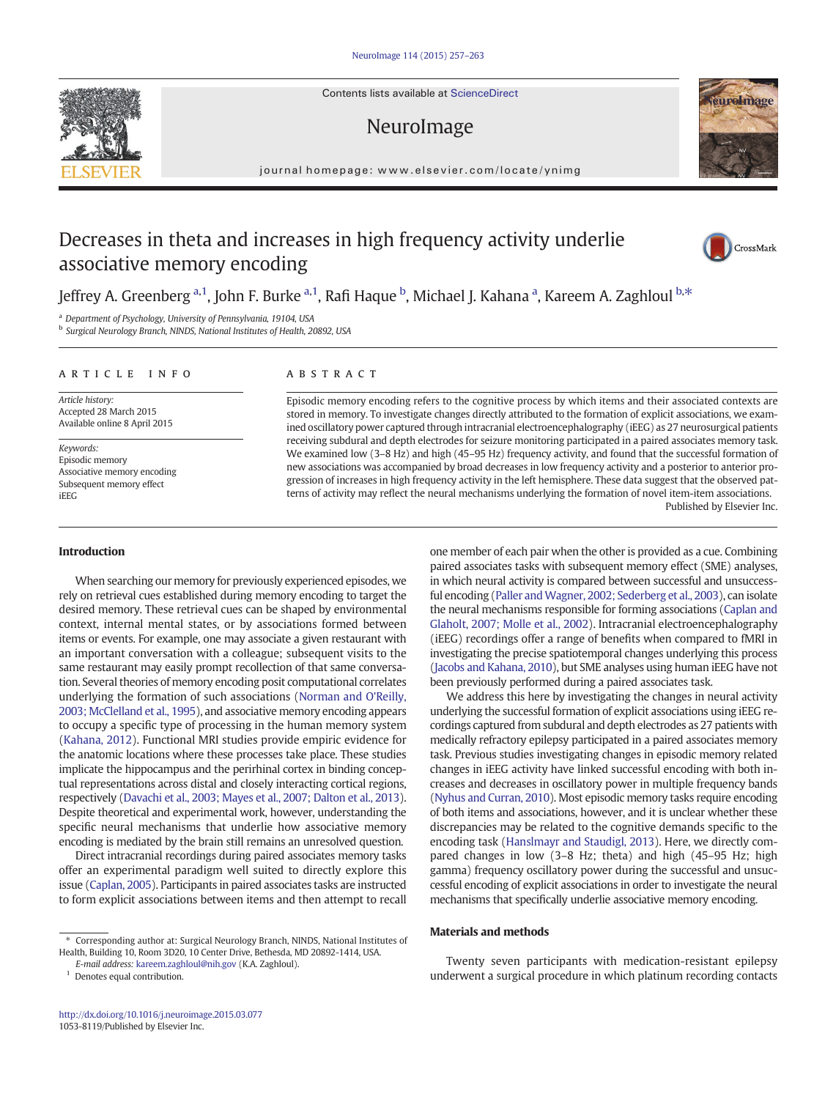Contents lists available at ScienceDirect

# NeuroImage

journal homepage: www.elsevier.com/locate/ynimg

# Decreases in theta and increases in high frequency activity underlie associative memory encoding

Jeffrey A. Greenberg <sup>a,1</sup>, John F. Burke <sup>a,1</sup>, Rafi Haque <sup>b</sup>, Michael J. Kahana <sup>a</sup>, Kareem A. Zaghloul <sup>b,\*</sup>

<sup>a</sup> Department of Psychology, University of Pennsylvania, 19104, USA

b Surgical Neurology Branch, NINDS, National Institutes of Health, 20892, USA

### article info abstract

Article history: Accepted 28 March 2015 Available online 8 April 2015

Keywords: Episodic memory Associative memory encoding Subsequent memory effect iEEG

#### Introduction

When searching our memory for previously experienced episodes, we rely on retrieval cues established during memory encoding to target the desired memory. These retrieval cues can be shaped by environmental context, internal mental states, or by associations formed between items or events. For example, one may associate a given restaurant with an important conversation with a colleague; subsequent visits to the same restaurant may easily prompt recollection of that same conversation. Several theories of memory encoding posit computational correlates underlying the formation of such associations (Norman and O'Reilly, 2003; McClelland et al., 1995), and associative memory encoding appears to occupy a specific type of processing in the human memory system (Kahana, 2012). Functional MRI studies provide empiric evidence for the anatomic locations where these processes take place. These studies implicate the hippocampus and the perirhinal cortex in binding conceptual representations across distal and closely interacting cortical regions, respectively (Davachi et al., 2003; Mayes et al., 2007; Dalton et al., 2013). Despite theoretical and experimental work, however, understanding the specific neural mechanisms that underlie how associative memory encoding is mediated by the brain still remains an unresolved question.

Direct intracranial recordings during paired associates memory tasks offer an experimental paradigm well suited to directly explore this issue (Caplan, 2005). Participants in paired associates tasks are instructed to form explicit associations between items and then attempt to recall

<sup>1</sup> Denotes equal contribution.

Episodic memory encoding refers to the cognitive process by which items and their associated contexts are stored in memory. To investigate changes directly attributed to the formation of explicit associations, we examined oscillatory power captured through intracranial electroencephalography (iEEG) as 27 neurosurgical patients receiving subdural and depth electrodes for seizure monitoring participated in a paired associates memory task. We examined low (3–8 Hz) and high (45–95 Hz) frequency activity, and found that the successful formation of new associations was accompanied by broad decreases in low frequency activity and a posterior to anterior progression of increases in high frequency activity in the left hemisphere. These data suggest that the observed patterns of activity may reflect the neural mechanisms underlying the formation of novel item-item associations. Published by Elsevier Inc.

> one member of each pair when the other is provided as a cue. Combining paired associates tasks with subsequent memory effect (SME) analyses, in which neural activity is compared between successful and unsuccessful encoding (Paller and Wagner, 2002; Sederberg et al., 2003), can isolate the neural mechanisms responsible for forming associations (Caplan and Glaholt, 2007; Molle et al., 2002). Intracranial electroencephalography (iEEG) recordings offer a range of benefits when compared to fMRI in investigating the precise spatiotemporal changes underlying this process (Jacobs and Kahana, 2010), but SME analyses using human iEEG have not been previously performed during a paired associates task.

> We address this here by investigating the changes in neural activity underlying the successful formation of explicit associations using iEEG recordings captured from subdural and depth electrodes as 27 patients with medically refractory epilepsy participated in a paired associates memory task. Previous studies investigating changes in episodic memory related changes in iEEG activity have linked successful encoding with both increases and decreases in oscillatory power in multiple frequency bands (Nyhus and Curran, 2010). Most episodic memory tasks require encoding of both items and associations, however, and it is unclear whether these discrepancies may be related to the cognitive demands specific to the encoding task (Hanslmayr and Staudigl, 2013). Here, we directly compared changes in low (3–8 Hz; theta) and high (45–95 Hz; high gamma) frequency oscillatory power during the successful and unsuccessful encoding of explicit associations in order to investigate the neural mechanisms that specifically underlie associative memory encoding.

#### Materials and methods

Twenty seven participants with medication-resistant epilepsy underwent a surgical procedure in which platinum recording contacts







<sup>⁎</sup> Corresponding author at: Surgical Neurology Branch, NINDS, National Institutes of Health, Building 10, Room 3D20, 10 Center Drive, Bethesda, MD 20892-1414, USA.

E-mail address: kareem.zaghloul@nih.gov (K.A. Zaghloul).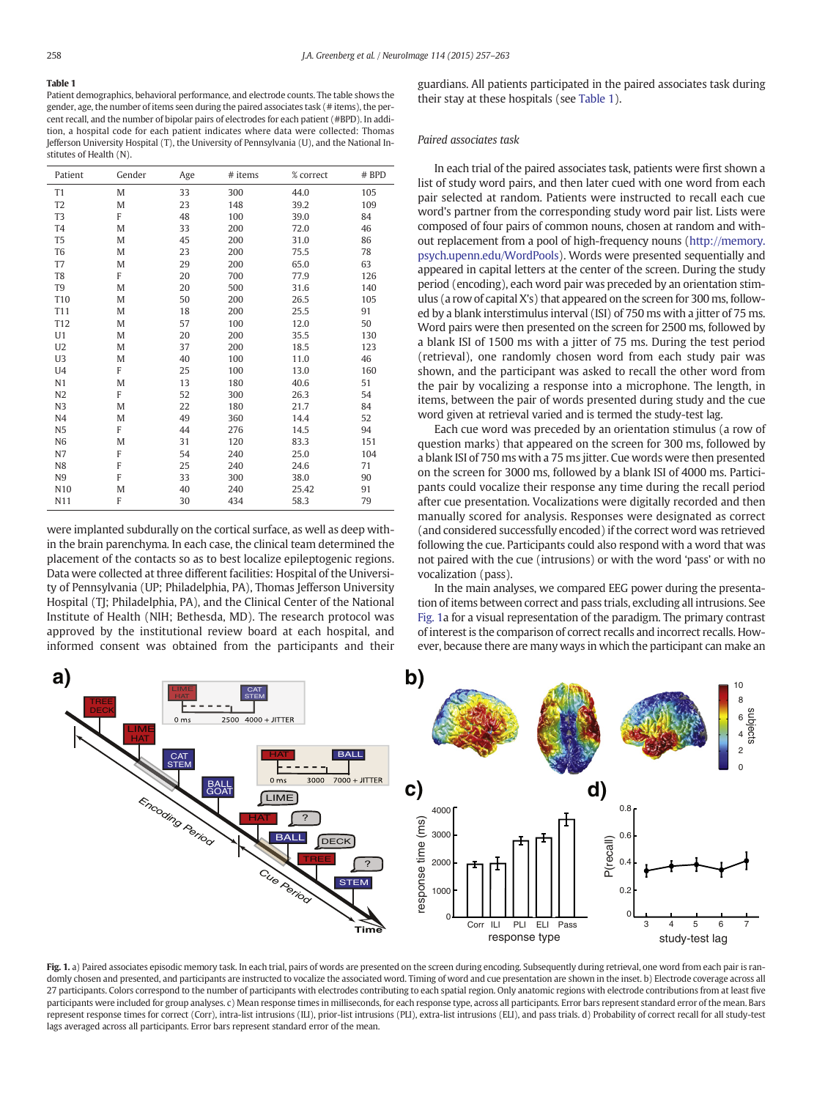# Table 1

Patient demographics, behavioral performance, and electrode counts. The table shows the gender, age, the number of items seen during the paired associates task (# items), the percent recall, and the number of bipolar pairs of electrodes for each patient (#BPD). In addition, a hospital code for each patient indicates where data were collected: Thomas Jefferson University Hospital (T), the University of Pennsylvania (U), and the National Institutes of Health (N).

| Patient        | Gender | Age | # items | % correct | # BPD |
|----------------|--------|-----|---------|-----------|-------|
| T1             | M      | 33  | 300     | 44.0      | 105   |
| T <sub>2</sub> | M      | 23  | 148     | 39.2      | 109   |
| T <sub>3</sub> | F      | 48  | 100     | 39.0      | 84    |
| T <sub>4</sub> | M      | 33  | 200     | 72.0      | 46    |
| T <sub>5</sub> | M      | 45  | 200     | 31.0      | 86    |
| T <sub>6</sub> | M      | 23  | 200     | 75.5      | 78    |
| T7             | M      | 29  | 200     | 65.0      | 63    |
| T8             | F      | 20  | 700     | 77.9      | 126   |
| T9             | M      | 20  | 500     | 31.6      | 140   |
| T10            | M      | 50  | 200     | 26.5      | 105   |
| T11            | M      | 18  | 200     | 25.5      | 91    |
| T12            | M      | 57  | 100     | 12.0      | 50    |
| U1             | M      | 20  | 200     | 35.5      | 130   |
| U <sub>2</sub> | M      | 37  | 200     | 18.5      | 123   |
| U <sub>3</sub> | M      | 40  | 100     | 11.0      | 46    |
| U <sub>4</sub> | F      | 25  | 100     | 13.0      | 160   |
| N1             | M      | 13  | 180     | 40.6      | 51    |
| N2             | F      | 52  | 300     | 26.3      | 54    |
| N3             | M      | 22  | 180     | 21.7      | 84    |
| N <sub>4</sub> | M      | 49  | 360     | 14.4      | 52    |
| N <sub>5</sub> | F      | 44  | 276     | 14.5      | 94    |
| N <sub>6</sub> | M      | 31  | 120     | 83.3      | 151   |
| N7             | F      | 54  | 240     | 25.0      | 104   |
| N8             | F      | 25  | 240     | 24.6      | 71    |
| N9             | F      | 33  | 300     | 38.0      | 90    |
| N10            | M      | 40  | 240     | 25.42     | 91    |
| N11            | F      | 30  | 434     | 58.3      | 79    |

were implanted subdurally on the cortical surface, as well as deep within the brain parenchyma. In each case, the clinical team determined the placement of the contacts so as to best localize epileptogenic regions. Data were collected at three different facilities: Hospital of the University of Pennsylvania (UP; Philadelphia, PA), Thomas Jefferson University Hospital (TJ; Philadelphia, PA), and the Clinical Center of the National Institute of Health (NIH; Bethesda, MD). The research protocol was approved by the institutional review board at each hospital, and informed consent was obtained from the participants and their guardians. All patients participated in the paired associates task during their stay at these hospitals (see Table 1).

#### Paired associates task

In each trial of the paired associates task, patients were first shown a list of study word pairs, and then later cued with one word from each pair selected at random. Patients were instructed to recall each cue word's partner from the corresponding study word pair list. Lists were composed of four pairs of common nouns, chosen at random and without replacement from a pool of high-frequency nouns (http://memory. psych.upenn.edu/WordPools). Words were presented sequentially and appeared in capital letters at the center of the screen. During the study period (encoding), each word pair was preceded by an orientation stimulus (a row of capital X's) that appeared on the screen for 300 ms, followed by a blank interstimulus interval (ISI) of 750 ms with a jitter of 75 ms. Word pairs were then presented on the screen for 2500 ms, followed by a blank ISI of 1500 ms with a jitter of 75 ms. During the test period (retrieval), one randomly chosen word from each study pair was shown, and the participant was asked to recall the other word from the pair by vocalizing a response into a microphone. The length, in items, between the pair of words presented during study and the cue word given at retrieval varied and is termed the study-test lag.

Each cue word was preceded by an orientation stimulus (a row of question marks) that appeared on the screen for 300 ms, followed by a blank ISI of 750 ms with a 75 ms jitter. Cue words were then presented on the screen for 3000 ms, followed by a blank ISI of 4000 ms. Participants could vocalize their response any time during the recall period after cue presentation. Vocalizations were digitally recorded and then manually scored for analysis. Responses were designated as correct (and considered successfully encoded) if the correct word was retrieved following the cue. Participants could also respond with a word that was not paired with the cue (intrusions) or with the word 'pass' or with no vocalization (pass).

In the main analyses, we compared EEG power during the presentation of items between correct and pass trials, excluding all intrusions. See Fig. 1a for a visual representation of the paradigm. The primary contrast of interest is the comparison of correct recalls and incorrect recalls. However, because there are many ways in which the participant can make an



Fig. 1. a) Paired associates episodic memory task. In each trial, pairs of words are presented on the screen during encoding. Subsequently during retrieval, one word from each pair is randomly chosen and presented, and participants are instructed to vocalize the associated word. Timing of word and cue presentation are shown in the inset. b) Electrode coverage across all 27 participants. Colors correspond to the number of participants with electrodes contributing to each spatial region. Only anatomic regions with electrode contributions from at least five participants were included for group analyses. c) Mean response times in milliseconds, for each response type, across all participants. Error bars represent standard error of the mean. Bars represent response times for correct (Corr), intra-list intrusions (ILI), prior-list intrusions (PLI), extra-list intrusions (ELI), and pass trials. d) Probability of correct recall for all study-test lags averaged across all participants. Error bars represent standard error of the mean.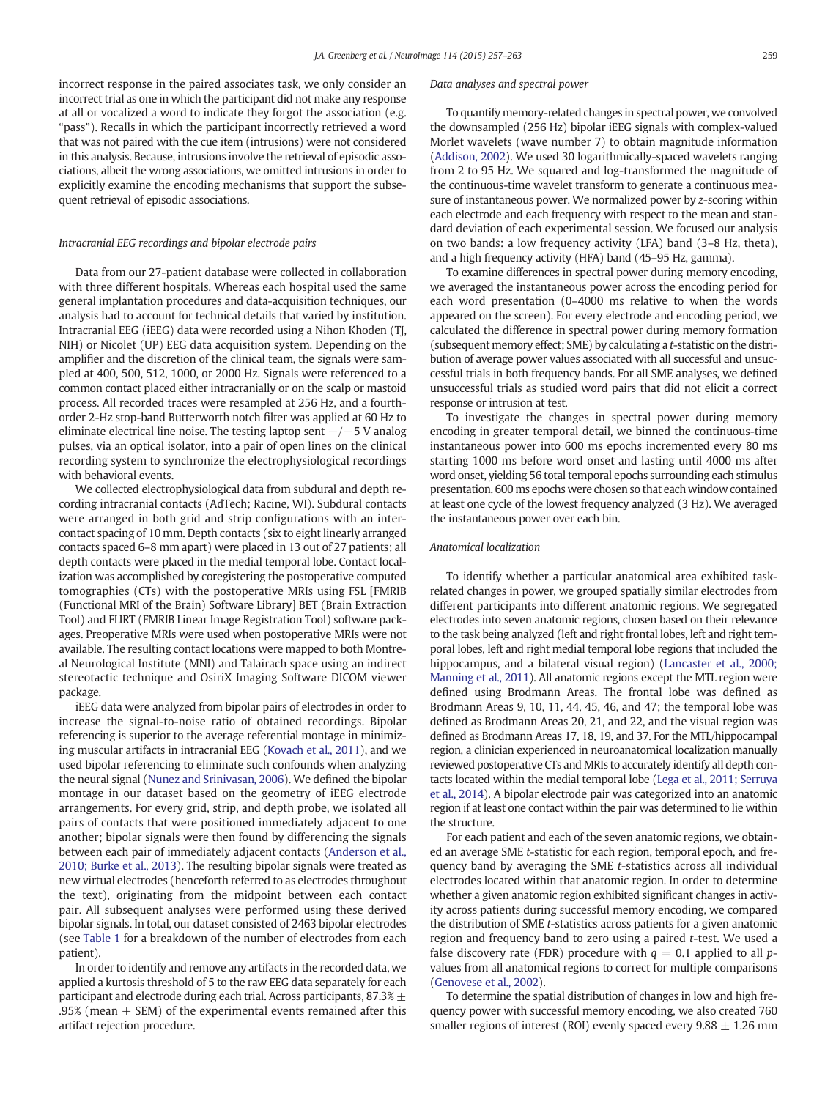incorrect response in the paired associates task, we only consider an incorrect trial as one in which the participant did not make any response at all or vocalized a word to indicate they forgot the association (e.g. "pass"). Recalls in which the participant incorrectly retrieved a word that was not paired with the cue item (intrusions) were not considered in this analysis. Because, intrusions involve the retrieval of episodic associations, albeit the wrong associations, we omitted intrusions in order to explicitly examine the encoding mechanisms that support the subsequent retrieval of episodic associations.

#### Intracranial EEG recordings and bipolar electrode pairs

Data from our 27-patient database were collected in collaboration with three different hospitals. Whereas each hospital used the same general implantation procedures and data-acquisition techniques, our analysis had to account for technical details that varied by institution. Intracranial EEG (iEEG) data were recorded using a Nihon Khoden (TJ, NIH) or Nicolet (UP) EEG data acquisition system. Depending on the amplifier and the discretion of the clinical team, the signals were sampled at 400, 500, 512, 1000, or 2000 Hz. Signals were referenced to a common contact placed either intracranially or on the scalp or mastoid process. All recorded traces were resampled at 256 Hz, and a fourthorder 2-Hz stop-band Butterworth notch filter was applied at 60 Hz to eliminate electrical line noise. The testing laptop sent  $+/-5$  V analog pulses, via an optical isolator, into a pair of open lines on the clinical recording system to synchronize the electrophysiological recordings with behavioral events.

We collected electrophysiological data from subdural and depth recording intracranial contacts (AdTech; Racine, WI). Subdural contacts were arranged in both grid and strip configurations with an intercontact spacing of 10 mm. Depth contacts (six to eight linearly arranged contacts spaced 6–8 mm apart) were placed in 13 out of 27 patients; all depth contacts were placed in the medial temporal lobe. Contact localization was accomplished by coregistering the postoperative computed tomographies (CTs) with the postoperative MRIs using FSL [FMRIB (Functional MRI of the Brain) Software Library] BET (Brain Extraction Tool) and FLIRT (FMRIB Linear Image Registration Tool) software packages. Preoperative MRIs were used when postoperative MRIs were not available. The resulting contact locations were mapped to both Montreal Neurological Institute (MNI) and Talairach space using an indirect stereotactic technique and OsiriX Imaging Software DICOM viewer package.

iEEG data were analyzed from bipolar pairs of electrodes in order to increase the signal-to-noise ratio of obtained recordings. Bipolar referencing is superior to the average referential montage in minimizing muscular artifacts in intracranial EEG (Kovach et al., 2011), and we used bipolar referencing to eliminate such confounds when analyzing the neural signal (Nunez and Srinivasan, 2006). We defined the bipolar montage in our dataset based on the geometry of iEEG electrode arrangements. For every grid, strip, and depth probe, we isolated all pairs of contacts that were positioned immediately adjacent to one another; bipolar signals were then found by differencing the signals between each pair of immediately adjacent contacts (Anderson et al., 2010; Burke et al., 2013). The resulting bipolar signals were treated as new virtual electrodes (henceforth referred to as electrodes throughout the text), originating from the midpoint between each contact pair. All subsequent analyses were performed using these derived bipolar signals. In total, our dataset consisted of 2463 bipolar electrodes (see Table 1 for a breakdown of the number of electrodes from each patient).

In order to identify and remove any artifacts in the recorded data, we applied a kurtosis threshold of 5 to the raw EEG data separately for each participant and electrode during each trial. Across participants,  $87.3\% \pm$ .95% (mean  $\pm$  SEM) of the experimental events remained after this artifact rejection procedure.

## Data analyses and spectral power

To quantify memory-related changes in spectral power, we convolved the downsampled (256 Hz) bipolar iEEG signals with complex-valued Morlet wavelets (wave number 7) to obtain magnitude information (Addison, 2002). We used 30 logarithmically-spaced wavelets ranging from 2 to 95 Hz. We squared and log-transformed the magnitude of the continuous-time wavelet transform to generate a continuous measure of instantaneous power. We normalized power by z-scoring within each electrode and each frequency with respect to the mean and standard deviation of each experimental session. We focused our analysis on two bands: a low frequency activity (LFA) band (3–8 Hz, theta), and a high frequency activity (HFA) band (45–95 Hz, gamma).

To examine differences in spectral power during memory encoding, we averaged the instantaneous power across the encoding period for each word presentation (0–4000 ms relative to when the words appeared on the screen). For every electrode and encoding period, we calculated the difference in spectral power during memory formation (subsequent memory effect; SME) by calculating a t-statistic on the distribution of average power values associated with all successful and unsuccessful trials in both frequency bands. For all SME analyses, we defined unsuccessful trials as studied word pairs that did not elicit a correct response or intrusion at test.

To investigate the changes in spectral power during memory encoding in greater temporal detail, we binned the continuous-time instantaneous power into 600 ms epochs incremented every 80 ms starting 1000 ms before word onset and lasting until 4000 ms after word onset, yielding 56 total temporal epochs surrounding each stimulus presentation. 600 ms epochs were chosen so that each window contained at least one cycle of the lowest frequency analyzed (3 Hz). We averaged the instantaneous power over each bin.

#### Anatomical localization

To identify whether a particular anatomical area exhibited taskrelated changes in power, we grouped spatially similar electrodes from different participants into different anatomic regions. We segregated electrodes into seven anatomic regions, chosen based on their relevance to the task being analyzed (left and right frontal lobes, left and right temporal lobes, left and right medial temporal lobe regions that included the hippocampus, and a bilateral visual region) (Lancaster et al., 2000; Manning et al., 2011). All anatomic regions except the MTL region were defined using Brodmann Areas. The frontal lobe was defined as Brodmann Areas 9, 10, 11, 44, 45, 46, and 47; the temporal lobe was defined as Brodmann Areas 20, 21, and 22, and the visual region was defined as Brodmann Areas 17, 18, 19, and 37. For the MTL/hippocampal region, a clinician experienced in neuroanatomical localization manually reviewed postoperative CTs and MRIs to accurately identify all depth contacts located within the medial temporal lobe (Lega et al., 2011; Serruya et al., 2014). A bipolar electrode pair was categorized into an anatomic region if at least one contact within the pair was determined to lie within the structure.

For each patient and each of the seven anatomic regions, we obtained an average SME t-statistic for each region, temporal epoch, and frequency band by averaging the SME t-statistics across all individual electrodes located within that anatomic region. In order to determine whether a given anatomic region exhibited significant changes in activity across patients during successful memory encoding, we compared the distribution of SME t-statistics across patients for a given anatomic region and frequency band to zero using a paired t-test. We used a false discovery rate (FDR) procedure with  $q = 0.1$  applied to all pvalues from all anatomical regions to correct for multiple comparisons (Genovese et al., 2002).

To determine the spatial distribution of changes in low and high frequency power with successful memory encoding, we also created 760 smaller regions of interest (ROI) evenly spaced every  $9.88 \pm 1.26$  mm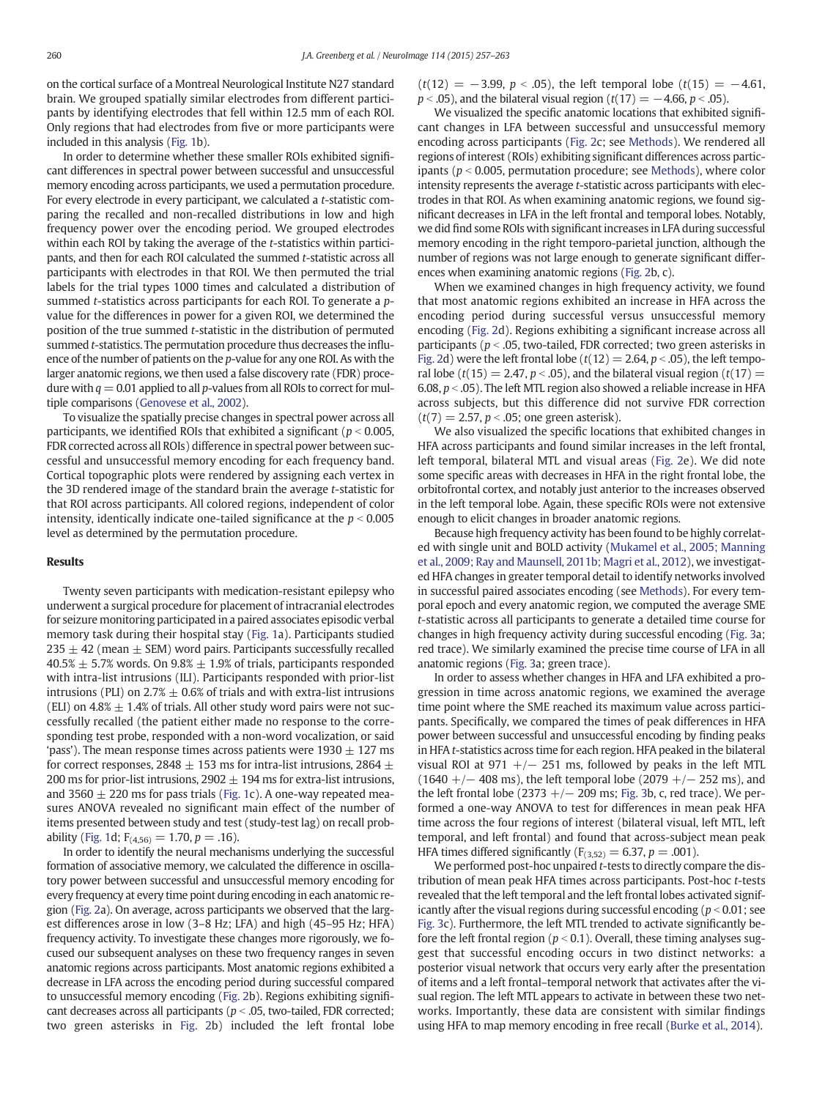on the cortical surface of a Montreal Neurological Institute N27 standard brain. We grouped spatially similar electrodes from different participants by identifying electrodes that fell within 12.5 mm of each ROI. Only regions that had electrodes from five or more participants were included in this analysis (Fig. 1b).

In order to determine whether these smaller ROIs exhibited significant differences in spectral power between successful and unsuccessful memory encoding across participants, we used a permutation procedure. For every electrode in every participant, we calculated a t-statistic comparing the recalled and non-recalled distributions in low and high frequency power over the encoding period. We grouped electrodes within each ROI by taking the average of the t-statistics within participants, and then for each ROI calculated the summed t-statistic across all participants with electrodes in that ROI. We then permuted the trial labels for the trial types 1000 times and calculated a distribution of summed *t*-statistics across participants for each ROI. To generate a *p*value for the differences in power for a given ROI, we determined the position of the true summed t-statistic in the distribution of permuted summed t-statistics. The permutation procedure thus decreases the influence of the number of patients on the p-value for any one ROI. As with the larger anatomic regions, we then used a false discovery rate (FDR) procedure with  $q = 0.01$  applied to all p-values from all ROIs to correct for multiple comparisons (Genovese et al., 2002).

To visualize the spatially precise changes in spectral power across all participants, we identified ROIs that exhibited a significant ( $p < 0.005$ , FDR corrected across all ROIs) difference in spectral power between successful and unsuccessful memory encoding for each frequency band. Cortical topographic plots were rendered by assigning each vertex in the 3D rendered image of the standard brain the average t-statistic for that ROI across participants. All colored regions, independent of color intensity, identically indicate one-tailed significance at the  $p < 0.005$ level as determined by the permutation procedure.

#### Results

Twenty seven participants with medication-resistant epilepsy who underwent a surgical procedure for placement of intracranial electrodes for seizure monitoring participated in a paired associates episodic verbal memory task during their hospital stay (Fig. 1a). Participants studied  $235 \pm 42$  (mean  $\pm$  SEM) word pairs. Participants successfully recalled  $40.5\% \pm 5.7\%$  words. On  $9.8\% \pm 1.9\%$  of trials, participants responded with intra-list intrusions (ILI). Participants responded with prior-list intrusions (PLI) on  $2.7\% \pm 0.6\%$  of trials and with extra-list intrusions (ELI) on  $4.8\% \pm 1.4\%$  of trials. All other study word pairs were not successfully recalled (the patient either made no response to the corresponding test probe, responded with a non-word vocalization, or said 'pass'). The mean response times across patients were  $1930 \pm 127$  ms for correct responses, 2848  $\pm$  153 ms for intra-list intrusions, 2864  $\pm$ 200 ms for prior-list intrusions,  $2902 \pm 194$  ms for extra-list intrusions, and 3560  $\pm$  220 ms for pass trials (Fig. 1c). A one-way repeated measures ANOVA revealed no significant main effect of the number of items presented between study and test (study-test lag) on recall probability (Fig. 1d;  $F_{(4,56)} = 1.70, p = .16$ ).

In order to identify the neural mechanisms underlying the successful formation of associative memory, we calculated the difference in oscillatory power between successful and unsuccessful memory encoding for every frequency at every time point during encoding in each anatomic region (Fig. 2a). On average, across participants we observed that the largest differences arose in low (3–8 Hz; LFA) and high (45–95 Hz; HFA) frequency activity. To investigate these changes more rigorously, we focused our subsequent analyses on these two frequency ranges in seven anatomic regions across participants. Most anatomic regions exhibited a decrease in LFA across the encoding period during successful compared to unsuccessful memory encoding (Fig. 2b). Regions exhibiting significant decreases across all participants ( $p < .05$ , two-tailed, FDR corrected; two green asterisks in Fig. 2b) included the left frontal lobe  $(t(12) = -3.99, p < .05)$ , the left temporal lobe  $(t(15) = -4.61,$  $p < .05$ ), and the bilateral visual region (t(17) =  $-4.66$ ,  $p < .05$ ).

We visualized the specific anatomic locations that exhibited significant changes in LFA between successful and unsuccessful memory encoding across participants (Fig. 2c; see Methods). We rendered all regions of interest (ROIs) exhibiting significant differences across participants ( $p < 0.005$ , permutation procedure; see Methods), where color intensity represents the average t-statistic across participants with electrodes in that ROI. As when examining anatomic regions, we found significant decreases in LFA in the left frontal and temporal lobes. Notably, we did find some ROIs with significant increases in LFA during successful memory encoding in the right temporo-parietal junction, although the number of regions was not large enough to generate significant differences when examining anatomic regions (Fig. 2b, c).

When we examined changes in high frequency activity, we found that most anatomic regions exhibited an increase in HFA across the encoding period during successful versus unsuccessful memory encoding (Fig. 2d). Regions exhibiting a significant increase across all participants ( $p < .05$ , two-tailed, FDR corrected; two green asterisks in Fig. 2d) were the left frontal lobe ( $t(12) = 2.64$ ,  $p < .05$ ), the left temporal lobe ( $t(15) = 2.47$ ,  $p < .05$ ), and the bilateral visual region ( $t(17) =$ 6.08,  $p <$  .05). The left MTL region also showed a reliable increase in HFA across subjects, but this difference did not survive FDR correction  $(t(7) = 2.57, p < .05$ ; one green asterisk).

We also visualized the specific locations that exhibited changes in HFA across participants and found similar increases in the left frontal, left temporal, bilateral MTL and visual areas (Fig. 2e). We did note some specific areas with decreases in HFA in the right frontal lobe, the orbitofrontal cortex, and notably just anterior to the increases observed in the left temporal lobe. Again, these specific ROIs were not extensive enough to elicit changes in broader anatomic regions.

Because high frequency activity has been found to be highly correlated with single unit and BOLD activity (Mukamel et al., 2005; Manning et al., 2009; Ray and Maunsell, 2011b; Magri et al., 2012), we investigated HFA changes in greater temporal detail to identify networks involved in successful paired associates encoding (see Methods). For every temporal epoch and every anatomic region, we computed the average SME t-statistic across all participants to generate a detailed time course for changes in high frequency activity during successful encoding (Fig. 3a; red trace). We similarly examined the precise time course of LFA in all anatomic regions (Fig. 3a; green trace).

In order to assess whether changes in HFA and LFA exhibited a progression in time across anatomic regions, we examined the average time point where the SME reached its maximum value across participants. Specifically, we compared the times of peak differences in HFA power between successful and unsuccessful encoding by finding peaks in HFA t-statistics across time for each region. HFA peaked in the bilateral visual ROI at 971  $+/-$  251 ms, followed by peaks in the left MTL  $(1640 +/- 408 \text{ ms})$ , the left temporal lobe  $(2079 +/- 252 \text{ ms})$ , and the left frontal lobe (2373 +/ $-$  209 ms; Fig. 3b, c, red trace). We performed a one-way ANOVA to test for differences in mean peak HFA time across the four regions of interest (bilateral visual, left MTL, left temporal, and left frontal) and found that across-subject mean peak HFA times differed significantly ( $F_{(3,52)} = 6.37, p = .001$ ).

We performed post-hoc unpaired t-tests to directly compare the distribution of mean peak HFA times across participants. Post-hoc t-tests revealed that the left temporal and the left frontal lobes activated significantly after the visual regions during successful encoding ( $p < 0.01$ ; see Fig. 3c). Furthermore, the left MTL trended to activate significantly before the left frontal region ( $p < 0.1$ ). Overall, these timing analyses suggest that successful encoding occurs in two distinct networks: a posterior visual network that occurs very early after the presentation of items and a left frontal–temporal network that activates after the visual region. The left MTL appears to activate in between these two networks. Importantly, these data are consistent with similar findings using HFA to map memory encoding in free recall (Burke et al., 2014).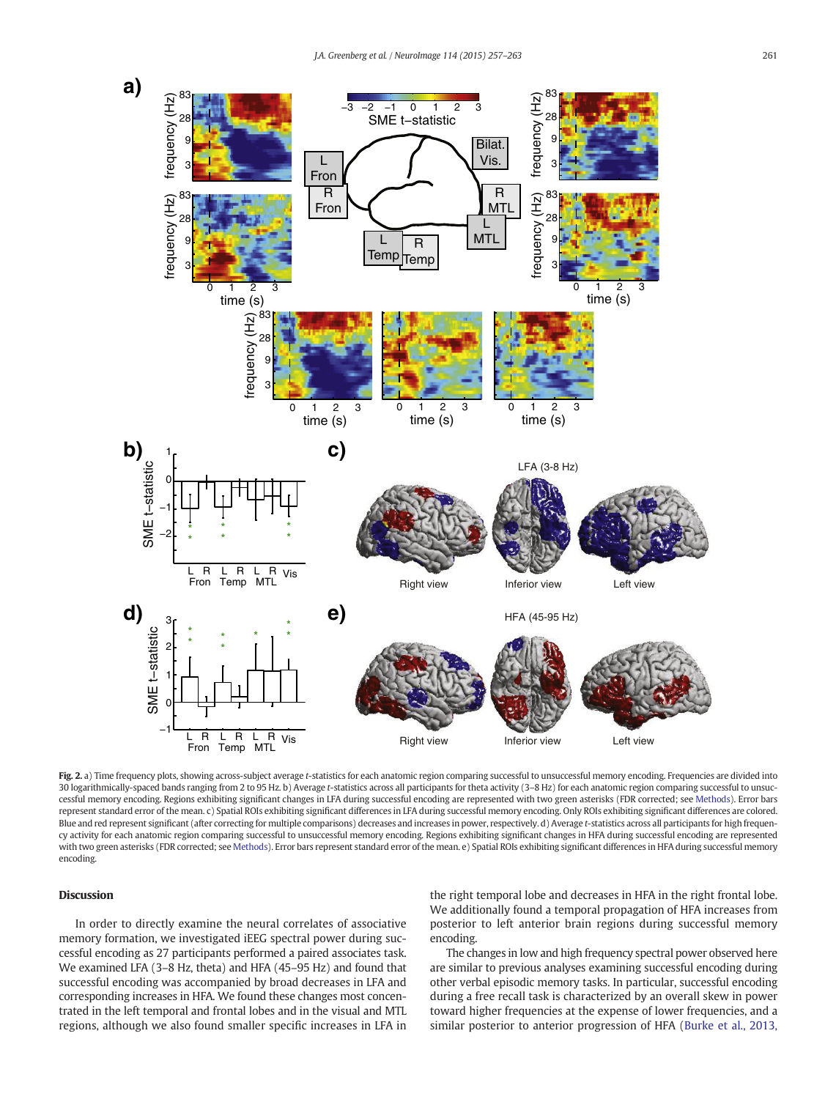

Fig. 2. a) Time frequency plots, showing across-subject average t-statistics for each anatomic region comparing successful to unsuccessful memory encoding. Frequencies are divided into 30 logarithmically-spaced bands ranging from 2 to 95 Hz. b) Average t-statistics across all participants for theta activity (3–8 Hz) for each anatomic region comparing successful to unsuccessful memory encoding. Regions exhibiting significant changes in LFA during successful encoding are represented with two green asterisks (FDR corrected; see Methods). Error bars represent standard error of the mean. c) Spatial ROIs exhibiting significant differences in LFA during successful memory encoding. Only ROIs exhibiting significant differences are colored. Blue and red represent significant (after correcting for multiple comparisons) decreases and increases in power, respectively. d) Average t-statistics across all participants for high frequency activity for each anatomic region comparing successful to unsuccessful memory encoding. Regions exhibiting significant changes in HFA during successful encoding are represented with two green asterisks (FDR corrected; see Methods). Error bars represent standard error of the mean. e) Spatial ROIs exhibiting significant differences in HFA during successful memory encoding.

## Discussion

In order to directly examine the neural correlates of associative memory formation, we investigated iEEG spectral power during successful encoding as 27 participants performed a paired associates task. We examined LFA (3–8 Hz, theta) and HFA (45–95 Hz) and found that successful encoding was accompanied by broad decreases in LFA and corresponding increases in HFA. We found these changes most concentrated in the left temporal and frontal lobes and in the visual and MTL regions, although we also found smaller specific increases in LFA in the right temporal lobe and decreases in HFA in the right frontal lobe. We additionally found a temporal propagation of HFA increases from posterior to left anterior brain regions during successful memory encoding.

The changes in low and high frequency spectral power observed here are similar to previous analyses examining successful encoding during other verbal episodic memory tasks. In particular, successful encoding during a free recall task is characterized by an overall skew in power toward higher frequencies at the expense of lower frequencies, and a similar posterior to anterior progression of HFA (Burke et al., 2013,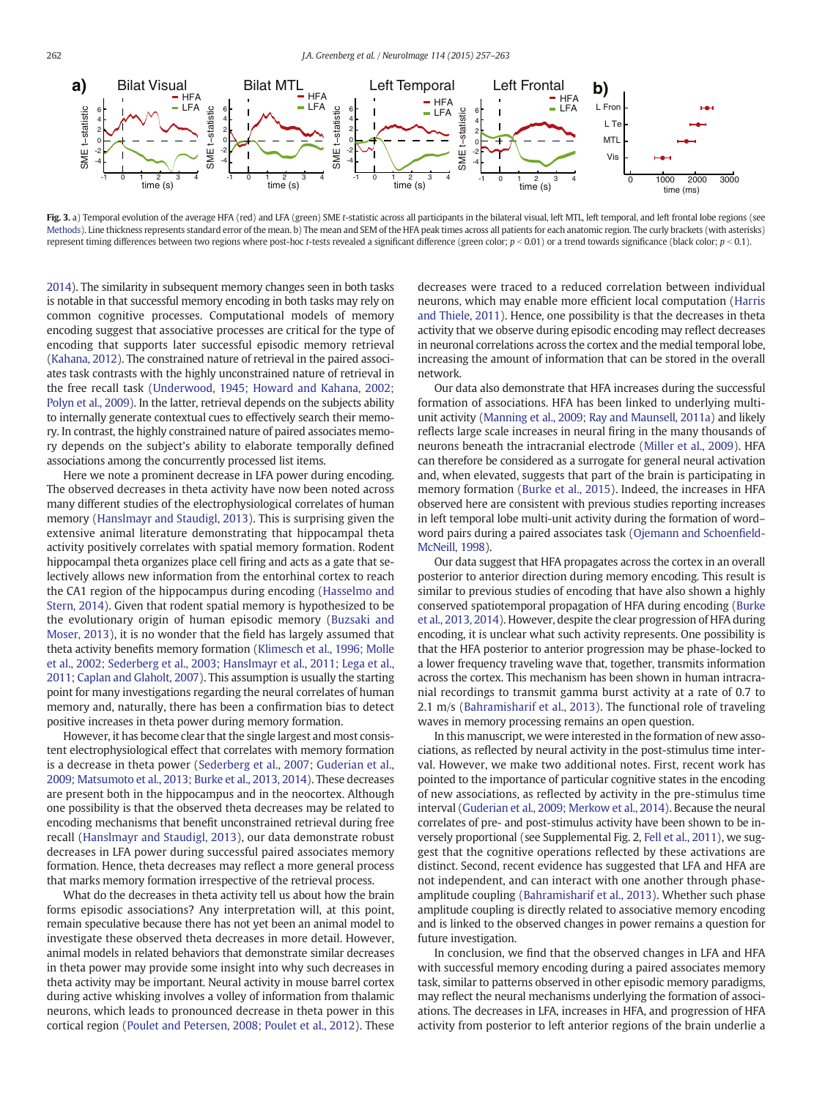

Fig. 3. a) Temporal evolution of the average HFA (red) and LFA (green) SME t-statistic across all participants in the bilateral visual, left MTL, left temporal, and left frontal lobe regions (see Methods). Line thickness represents standard error of the mean. b) The mean and SEM of the HFA peak times across all patients for each anatomic region. The curly brackets (with asterisks) represent timing differences between two regions where post-hoc t-tests revealed a significant difference (green color;  $p < 0.01$ ) or a trend towards significance (black color;  $p < 0.1$ ).

2014). The similarity in subsequent memory changes seen in both tasks is notable in that successful memory encoding in both tasks may rely on common cognitive processes. Computational models of memory encoding suggest that associative processes are critical for the type of encoding that supports later successful episodic memory retrieval (Kahana, 2012). The constrained nature of retrieval in the paired associates task contrasts with the highly unconstrained nature of retrieval in the free recall task (Underwood, 1945; Howard and Kahana, 2002; Polyn et al., 2009). In the latter, retrieval depends on the subjects ability to internally generate contextual cues to effectively search their memory. In contrast, the highly constrained nature of paired associates memory depends on the subject's ability to elaborate temporally defined associations among the concurrently processed list items.

Here we note a prominent decrease in LFA power during encoding. The observed decreases in theta activity have now been noted across many different studies of the electrophysiological correlates of human memory (Hanslmayr and Staudigl, 2013). This is surprising given the extensive animal literature demonstrating that hippocampal theta activity positively correlates with spatial memory formation. Rodent hippocampal theta organizes place cell firing and acts as a gate that selectively allows new information from the entorhinal cortex to reach the CA1 region of the hippocampus during encoding (Hasselmo and Stern, 2014). Given that rodent spatial memory is hypothesized to be the evolutionary origin of human episodic memory (Buzsaki and Moser, 2013), it is no wonder that the field has largely assumed that theta activity benefits memory formation (Klimesch et al., 1996; Molle et al., 2002; Sederberg et al., 2003; Hanslmayr et al., 2011; Lega et al., 2011; Caplan and Glaholt, 2007). This assumption is usually the starting point for many investigations regarding the neural correlates of human memory and, naturally, there has been a confirmation bias to detect positive increases in theta power during memory formation.

However, it has become clear that the single largest and most consistent electrophysiological effect that correlates with memory formation is a decrease in theta power (Sederberg et al., 2007; Guderian et al., 2009; Matsumoto et al., 2013; Burke et al., 2013, 2014). These decreases are present both in the hippocampus and in the neocortex. Although one possibility is that the observed theta decreases may be related to encoding mechanisms that benefit unconstrained retrieval during free recall (Hanslmayr and Staudigl, 2013), our data demonstrate robust decreases in LFA power during successful paired associates memory formation. Hence, theta decreases may reflect a more general process that marks memory formation irrespective of the retrieval process.

What do the decreases in theta activity tell us about how the brain forms episodic associations? Any interpretation will, at this point, remain speculative because there has not yet been an animal model to investigate these observed theta decreases in more detail. However, animal models in related behaviors that demonstrate similar decreases in theta power may provide some insight into why such decreases in theta activity may be important. Neural activity in mouse barrel cortex during active whisking involves a volley of information from thalamic neurons, which leads to pronounced decrease in theta power in this cortical region (Poulet and Petersen, 2008; Poulet et al., 2012). These decreases were traced to a reduced correlation between individual neurons, which may enable more efficient local computation (Harris and Thiele, 2011). Hence, one possibility is that the decreases in theta activity that we observe during episodic encoding may reflect decreases in neuronal correlations across the cortex and the medial temporal lobe, increasing the amount of information that can be stored in the overall network.

Our data also demonstrate that HFA increases during the successful formation of associations. HFA has been linked to underlying multiunit activity (Manning et al., 2009; Ray and Maunsell, 2011a) and likely reflects large scale increases in neural firing in the many thousands of neurons beneath the intracranial electrode (Miller et al., 2009). HFA can therefore be considered as a surrogate for general neural activation and, when elevated, suggests that part of the brain is participating in memory formation (Burke et al., 2015). Indeed, the increases in HFA observed here are consistent with previous studies reporting increases in left temporal lobe multi-unit activity during the formation of word– word pairs during a paired associates task (Ojemann and Schoenfield-McNeill, 1998).

Our data suggest that HFA propagates across the cortex in an overall posterior to anterior direction during memory encoding. This result is similar to previous studies of encoding that have also shown a highly conserved spatiotemporal propagation of HFA during encoding (Burke et al., 2013, 2014). However, despite the clear progression of HFA during encoding, it is unclear what such activity represents. One possibility is that the HFA posterior to anterior progression may be phase-locked to a lower frequency traveling wave that, together, transmits information across the cortex. This mechanism has been shown in human intracranial recordings to transmit gamma burst activity at a rate of 0.7 to 2.1 m/s (Bahramisharif et al., 2013). The functional role of traveling waves in memory processing remains an open question.

In this manuscript, we were interested in the formation of new associations, as reflected by neural activity in the post-stimulus time interval. However, we make two additional notes. First, recent work has pointed to the importance of particular cognitive states in the encoding of new associations, as reflected by activity in the pre-stimulus time interval (Guderian et al., 2009; Merkow et al., 2014). Because the neural correlates of pre- and post-stimulus activity have been shown to be inversely proportional (see Supplemental Fig. 2, Fell et al., 2011), we suggest that the cognitive operations reflected by these activations are distinct. Second, recent evidence has suggested that LFA and HFA are not independent, and can interact with one another through phaseamplitude coupling (Bahramisharif et al., 2013). Whether such phase amplitude coupling is directly related to associative memory encoding and is linked to the observed changes in power remains a question for future investigation.

In conclusion, we find that the observed changes in LFA and HFA with successful memory encoding during a paired associates memory task, similar to patterns observed in other episodic memory paradigms, may reflect the neural mechanisms underlying the formation of associations. The decreases in LFA, increases in HFA, and progression of HFA activity from posterior to left anterior regions of the brain underlie a